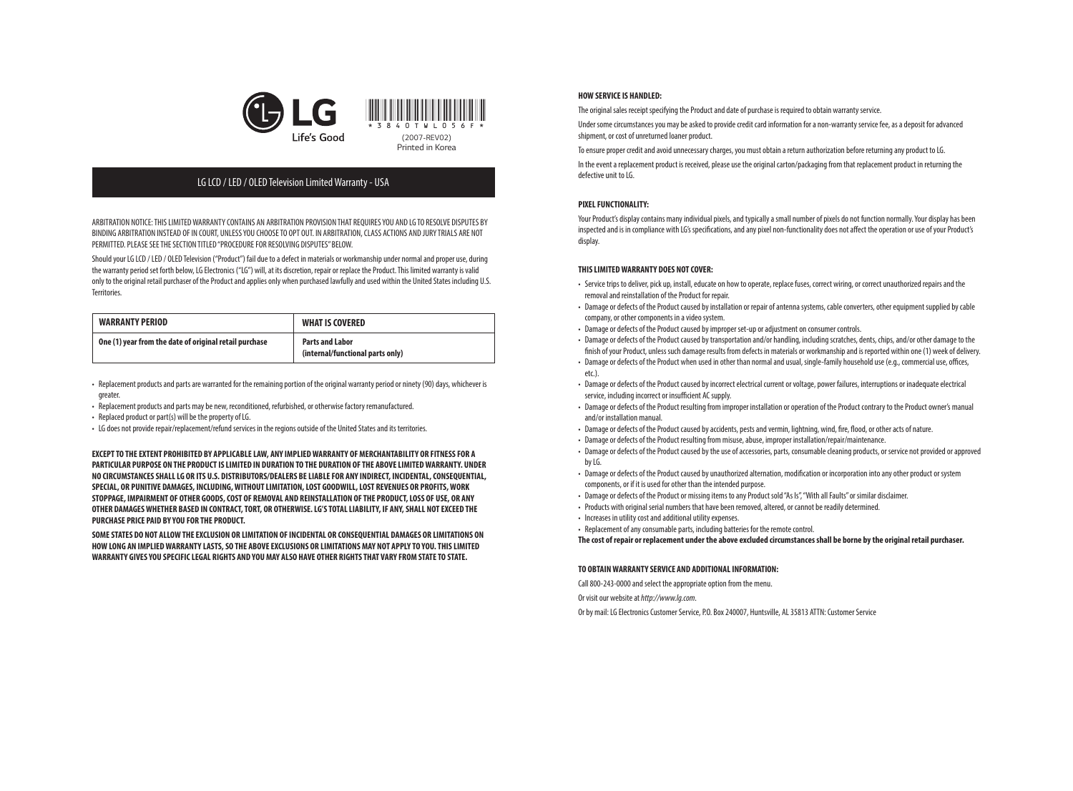

# LG LCD / LED / OLED Television Limited Warranty - USA

ARBITRATION NOTICE: THIS LIMITED WARRANTY CONTAINS AN ARBITRATION PROVISION THAT REQUIRES YOU AND LG TO RESOLVE DISPUTES BY BINDING ARBITRATION INSTEAD OF IN COURT, UNLESS YOU CHOOSE TO OPT OUT. IN ARBITRATION, CLASS ACTIONS AND JURY TRIALS ARE NOT PERMITTED. PLEASE SEE THE SECTION TITLED "PROCEDURE FOR RESOLVING DISPUTES" BELOW.

Should your LG LCD / LED / OLED Television ("Product") fail due to a defect in materials or workmanship under normal and proper use, during the warranty period set forth below, LG Electronics ("LG") will, at its discretion, repair or replace the Product. This limited warranty is valid only to the original retail purchaser of the Product and applies only when purchased lawfully and used within the United States including U.S. Territories.

| <b>WARRANTY PERIOD</b>                                 | <b>WHAT IS COVERED</b>                                     |
|--------------------------------------------------------|------------------------------------------------------------|
| One (1) year from the date of original retail purchase | <b>Parts and Labor</b><br>(internal/functional parts only) |

- • Replacement products and parts are warranted for the remaining portion of the original warranty period or ninety (90) days, whichever is greater.
- Replacement products and parts may be new, reconditioned, refurbished, or otherwise factory remanufactured.
- Replaced product or part(s) will be the property of LG.
- • LG does not provide repair/replacement/refund services in the regions outside of the United States and its territories.

**EXCEPT TO THE EXTENT PROHIBITED BY APPLICABLE LAW, ANY IMPLIED WARRANTY OF MERCHANTABILITY OR FITNESS FOR A PARTICULAR PURPOSE ON THE PRODUCT IS LIMITED IN DURATION TO THE DURATION OF THE ABOVE LIMITED WARRANTY. UNDER NO CIRCUMSTANCES SHALL LG OR ITS U.S. DISTRIBUTORS/DEALERS BE LIABLE FOR ANY INDIRECT, INCIDENTAL, CONSEQUENTIAL, SPECIAL, OR PUNITIVE DAMAGES, INCLUDING, WITHOUT LIMITATION, LOST GOODWILL, LOST REVENUES OR PROFITS, WORK STOPPAGE, IMPAIRMENT OF OTHER GOODS, COST OF REMOVAL AND REINSTALLATION OF THE PRODUCT, LOSS OF USE, OR ANY OTHER DAMAGES WHETHER BASED IN CONTRACT, TORT, OR OTHERWISE. LG'S TOTAL LIABILITY, IF ANY, SHALL NOT EXCEED THE PURCHASE PRICE PAID BY YOU FOR THE PRODUCT.**

**SOME STATES DO NOT ALLOW THE EXCLUSION OR LIMITATION OF INCIDENTAL OR CONSEQUENTIAL DAMAGES OR LIMITATIONS ON HOW LONG AN IMPLIED WARRANTY LASTS, SO THE ABOVE EXCLUSIONS OR LIMITATIONS MAY NOT APPLY TO YOU. THIS LIMITED WARRANTY GIVES YOU SPECIFIC LEGAL RIGHTS AND YOU MAY ALSO HAVE OTHER RIGHTS THAT VARY FROM STATE TO STATE.**

### **HOW SERVICE IS HANDLED:**

The original sales receipt specifying the Product and date of purchase is required to obtain warranty service.

Under some circumstances you may be asked to provide credit card information for a non-warranty service fee, as a deposit for advanced shipment, or cost of unreturned loaner product.

To ensure proper credit and avoid unnecessary charges, you must obtain a return authorization before returning any product to LG.

In the event a replacement product is received, please use the original carton/packaging from that replacement product in returning the defective unit to LG.

# **PIXEL FUNCTIONALITY:**

Your Product's display contains many individual pixels, and typically a small number of pixels do not function normally. Your display has been inspected and is in compliance with LG's specifications, and any pixel non-functionality does not affect the operation or use of your Product's display.

# **THIS LIMITED WARRANTY DOES NOT COVER:**

- • Service trips to deliver, pick up, install, educate on how to operate, replace fuses, correct wiring, or correct unauthorized repairs and the removal and reinstallation of the Product for repair.
- Damage or defects of the Product caused by installation or repair of antenna systems, cable converters, other equipment supplied by cable company, or other components in a video system.
- Damage or defects of the Product caused by improper set-up or adjustment on consumer controls.
- • Damage or defects of the Product caused by transportation and/or handling, including scratches, dents, chips, and/or other damage to the finish of your Product, unless such damage results from defects in materials or workmanship and is reported within one (1) week of delivery. • Damage or defects of the Product when used in other than normal and usual, single-family household use (e.g., commercial use, offices, etc.).
- • Damage or defects of the Product caused by incorrect electrical current or voltage, power failures, interruptions or inadequate electrical service, including incorrect or insufficient AC supply.
- • Damage or defects of the Product resulting from improper installation or operation of the Product contrary to the Product owner's manual and/or installation manual.
- • Damage or defects of the Product caused by accidents, pests and vermin, lightning, wind, fire, flood, or other acts of nature.
- Damage or defects of the Product resulting from misuse, abuse, improper installation/repair/maintenance.
- • Damage or defects of the Product caused by the use of accessories, parts, consumable cleaning products, or service not provided or approved by LG.
- • Damage or defects of the Product caused by unauthorized alternation, modification or incorporation into any other product or system components, or if it is used for other than the intended purpose.
- Damage or defects of the Product or missing items to any Product sold "As Is", "With all Faults" or similar disclaimer.
- Products with original serial numbers that have been removed, altered, or cannot be readily determined.
- Increases in utility cost and additional utility expenses.
- Replacement of any consumable parts, including batteries for the remote control.

**The cost of repair or replacement under the above excluded circumstances shall be borne by the original retail purchaser.**

### **TO OBTAIN WARRANTY SERVICE AND ADDITIONAL INFORMATION:**

Call 800-243-0000 and select the appropriate option from the menu.

Or visit our website at *http://www.lg.com*.

Or by mail: LG Electronics Customer Service, P.O. Box 240007, Huntsville, AL 35813 ATTN: Customer Service